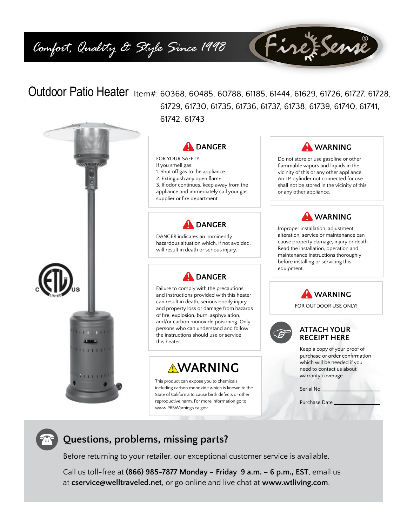# *Comfort, Quality & Style Since 1998*

# Outdoor Patio Heater Item#: 60368, 60485, 60788, 61185, 61444, 61629, 61726, 61727, 61728, 61729, 61730, 61735, 61736, 61737, 61738, 61739, 61740, 61741, 61742, 61743





FOR YOUR SAFETY: If you smell gas: 1. Shut off gas to the appliance. 2. Extinguish any open flame. 3. If odor continues, keep away from the appliance and immediately call your gas supplier or fire department.



DANGER indicates an imminently hazardous situation which, if not avoided, will result in death or serious injury.



Failure to comply with the precautions and instructions provided with this heater can result in death, serious bodily injury and property loss or damage from hazards of fire, explosion, burn, asphyxiation, and/or carbon monoxide poisoning. Only persons who can understand and follow the instructions should use or service this heater.

# **AWARNING**

This product can expose you to chemicals including carbon monoxide which is known to the State of California to cause birth defects or other reproductive harm. For more information go to www.P65Warnings.ca.gov.



FireFSense

Do not store or use gasoline or other flammable vapors and liquids in the vicinity of this or any other appliance. An LP-cylinder not connected for use shall not be stored in the vicinity of this or any other appliance.

# **WARNING**

Improper installation, adjustment, alteration, service or maintenance can cause property damage, injury or death. Read the installation, operation and maintenance instructions thoroughly before installing or servicing this equipment.



FOR OUTDOOR USE ONLY!



### **ATTACH YOUR RECEIPT HERE**

Keep a copy of your proof of purchase or order confirmation which will be needed if you need to contact us about warranty coverage.

Serial No.

Purchase Date

# **Questions, problems, missing parts?**

Before returning to your retailer, our exceptional customer service is available.

Call us toll-free at **(866) 985-7877 Monday – Friday 9 a.m. – 6 p.m., EST**, email us at **cservice@welltraveled.net**, or go online and live chat at **www.wtliving.com**.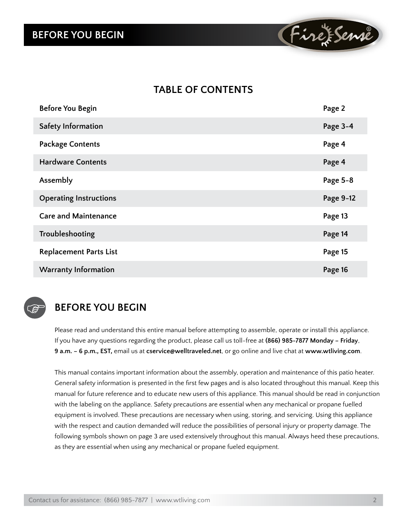# **BEFORE YOU BEGIN**



# **Table of Contents**

| <b>Before You Begin</b>       | Page 2    |
|-------------------------------|-----------|
| <b>Safety Information</b>     | Page 3-4  |
| <b>Package Contents</b>       | Page 4    |
| <b>Hardware Contents</b>      | Page 4    |
| Assembly                      | Page 5-8  |
| <b>Operating Instructions</b> | Page 9-12 |
| <b>Care and Maintenance</b>   | Page 13   |
| Troubleshooting               | Page 14   |
| <b>Replacement Parts List</b> | Page 15   |
| <b>Warranty Information</b>   | Page 16   |



# **BEFORE YOU BEGIN**

Please read and understand this entire manual before attempting to assemble, operate or install this appliance. If you have any questions regarding the product, please call us toll-free at **(866) 985-7877 Monday – Friday**, **9 a.m. – 6 p.m., EST,** email us at **cservice@welltraveled.net**, or go online and live chat at **www.wtliving.com**.

This manual contains important information about the assembly, operation and maintenance of this patio heater. General safety information is presented in the first few pages and is also located throughout this manual. Keep this manual for future reference and to educate new users of this appliance. This manual should be read in conjunction with the labeling on the appliance. Safety precautions are essential when any mechanical or propane fuelled equipment is involved. These precautions are necessary when using, storing, and servicing. Using this appliance with the respect and caution demanded will reduce the possibilities of personal injury or property damage. The following symbols shown on page 3 are used extensively throughout this manual. Always heed these precautions, as they are essential when using any mechanical or propane fueled equipment.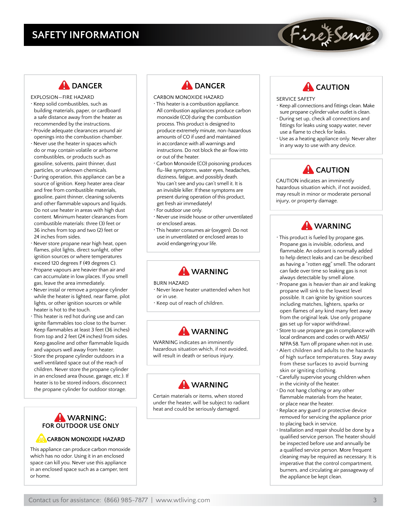# **SAFETY INFORMATION**

### **AL DANGER**

- EXPLOSION—FIRE HAZARD • Keep solid combustibles, such as building materials, paper, or cardboard a safe distance away from the heater as recommended by the instructions.
- Provide adequate clearances around air openings into the combustion chamber.
- Never use the heater in spaces which do or may contain volatile or airborne combustibles, or products such as gasoline, solvents, paint thinner, dust particles, or unknown chemicals.
- During operation, this appliance can be a source of ignition. Keep heater area clear and free from combustible materials, gasoline, paint thinner, cleaning solvents and other flammable vapours and liquids. Do not use heater in areas with high dust content. Minimum heater clearances from combustible materials: three (3) feet or 36 inches from top and two (2) feet or 24 inches from sides.
- Never store propane near high heat, open flames, pilot lights, direct sunlight, other ignition sources or where temperatures exceed 120 degrees F (49 degrees C).
- Propane vapours are heavier than air and can accumulate in low places. If you smell gas, leave the area immediately.
- Never instal or remove a propane cylinder while the heater is lighted, near flame, pilot lights, or other ignition sources or while heater is hot to the touch.
- This heater is red hot during use and can ignite flammables too close to the burner. Keep flammables at least 3 feet (36 inches) from top and 2 feet (24 inches) from sides. Keep gasoline and other flammable liquids and vapours well away from heater.
- Store the propane cylinder outdoors in a well ventilated space out of the reach of children. Never store the propane cylinder in an enclosed area (house, garage, etc.). If heater is to be stored indoors, disconnect the propane cylinder for outdoor storage.

### **WARNING: FOR OUTDOOR USE ONLY**

### **CARBON MONOXIDE HAZARD**

This appliance can produce carbon monoxide which has no odor. Using it in an enclosed space can kill you. Never use this appliance in an enclosed space such as a camper, tent or home.



- CARBON MONOXIDE HAZARD
- This heater is a combustion appliance. All combustion appliances produce carbon monoxide (CO) during the combustion process. This product is designed to produce extremely minute, non-hazardous amounts of CO if used and maintained in accordance with all warnings and instructions. Do not block the air flow into or out of the heater.
- Carbon Monoxide (CO) poisoning produces flu-like symptoms, water eyes, headaches, dizziness, fatigue, and possibly death. You can't see and you can't smell it. It is an invisible killer. If these symptoms are present during operation of this product, get fresh air immediately!
- For outdoor use only.
- Never use inside house or other unventilated or enclosed areas.
- This heater consumes air (oxygen). Do not use in unventilated or enclosed areas to avoid endangering your life.

### **WARNING**

#### BURN HAZARD

- Never leave heater unattended when hot or in use.
- Keep out of reach of children.



WARNING indicates an imminently hazardous situation which, if not avoided, will result in death or serious injury.



Certain materials or items, when stored under the heater, will be subject to radiant heat and could be seriously damaged.

# **A** CAUTION

FireFSense

### SERVICE SAFETY

- Keep all connections and fittings clean. Make sure propane cylinder valve outlet is clean.
- During set up, check all connections and fittings for leaks using soapy water, never use a flame to check for leaks.
- Use as a heating appliance only. Never alter in any way to use with any device.

# **A** CAUTION

CAUTION indicates an imminently hazardous situation which, if not avoided, may result in minor or moderate personal injury, or property damage.



- This product is fueled by propane gas. Propane gas is invisible, odorless, and flammable. An odorant is normally added to help detect leaks and can be described as having a "rotten egg" smell. The odorant can fade over time so leaking gas is not always detectable by smell alone.
- Propane gas is heavier than air and leaking propane will sink to the lowest level possible. It can ignite by ignition sources including matches, lighters, sparks or open flames of any kind many feet away from the original leak. Use only propane gas set up for vapor withdrawl.
- Store to use propane gas in compliance with local ordinances and codes or with ANSI/ NFPA 58. Turn off propane when not in use.
- Alert children and adults to the hazards of high surface temperatures. Stay away from these surfaces to avoid burning skin or igniting clothing.
- Carefully supervise young children when in the vicinity of the heater.
- Do not hang clothing or any other flammable materials from the heater, or place near the heater.
- Replace any guard or protective device removed for servicing the appliance prior to placing back in service.
- Installation and repair should be done by a qualified service person. The heater should be inspected before use and annually be a qualified service person. More frequent cleaning may be required as necessary. It is imperative that the control compartment, burners, and circulating air passageway of the appliance be kept clean.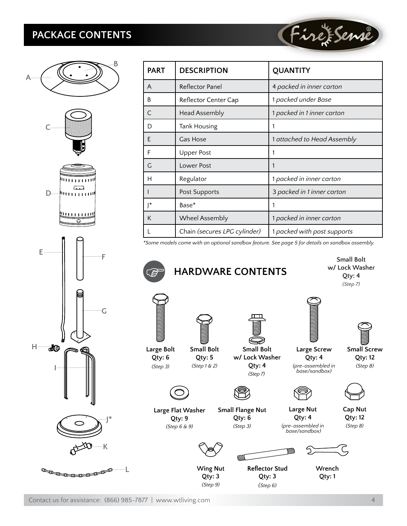# **PACKAGE CONTENTS**



| <b>PART</b>  | <b>DESCRIPTION</b>           | <b>QUANTITY</b>             |
|--------------|------------------------------|-----------------------------|
| A            | Reflector Panel              | 4 packed in inner carton    |
| B            | Reflector Center Cap         | 1 packed under Base         |
| $\subset$    | <b>Head Assembly</b>         | 1 packed in 1 inner carton  |
| D            | <b>Tank Housing</b>          | 1                           |
| E            | Gas Hose                     | 1 attached to Head Assembly |
| F            | <b>Upper Post</b>            | 1                           |
| G            | Lower Post                   | 1                           |
| н            | Regulator                    | 1 packed in inner carton    |
|              | Post Supports                | 3 packed in 1 inner carton  |
| <sup>*</sup> | Base*                        | 1                           |
| K            | Wheel Assembly               | 1 packed in inner carton    |
|              | Chain (secures LPG cylinder) | 1 packed with post supports |

(Fire Eseme

*\*Some models come with an optional sandbox feature. See page 5 for details on sandbox assembly.*

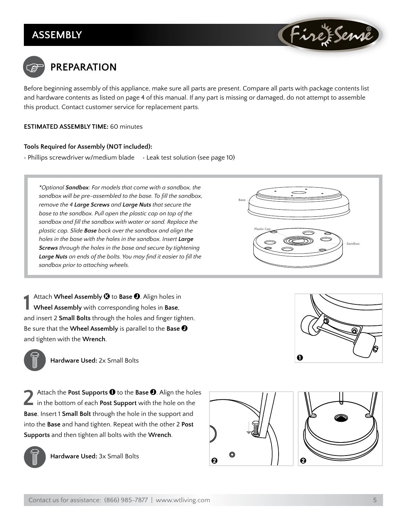# **Assembly**





Before beginning assembly of this appliance, make sure all parts are present. Compare all parts with package contents list and hardware contents as listed on page 4 of this manual. If any part is missing or damaged, do not attempt to assemble this product. Contact customer service for replacement parts.

### **ESTIMATED ASSEMBLY TIME:** 60 minutes

### **Tools Required for Assembly (NOT included):**

 $\cdot$  Phillips screwdriver w/medium blade  $\cdot$  Leak test solution (see page 10)

*\*Optional Sandbox: For models that come with a sandbox, the sandbox will be pre-assembled to the base. To fill the sandbox, remove the 4 Large Screws and Large Nuts that secure the base to the sandbox. Pull open the plastic cap on top of the sandbox and fill the sandbox with water or sand. Replace the plastic cap. Slide Base back over the sandbox and align the holes in the base with the holes in the sandbox. Insert Large Screws through the holes in the base and secure by tightening Large Nuts on ends of the bolts. You may find it easier to fill the sandbox prior to attaching wheels.*

**1** Attach **Wheel Assembly**  $\bigcirc$  to **Base**  $\bigcirc$ . Align holes in **Wheel Assembly** with corresponding holes in **Base**, and insert 2 **Small Bolts** through the holes and finger tighten. Be sure that the **Wheel Assembly** is parallel to the **Base** J and tighten with the **Wrench**.



**Hardware Used:** 2x Small Bolts

Attach the **Post Supports**  $\bullet$  to the **Base**  $\bullet$ . Align the holes in the bottom of each **Post Support** with the hole on the **Base**. Insert 1 **Small Bolt** through the hole in the support and into the **Base** and hand tighten. Repeat with the other 2 **Post Supports** and then tighten all bolts with the **Wrench**.



**Hardware Used:** 3x Small Bolts







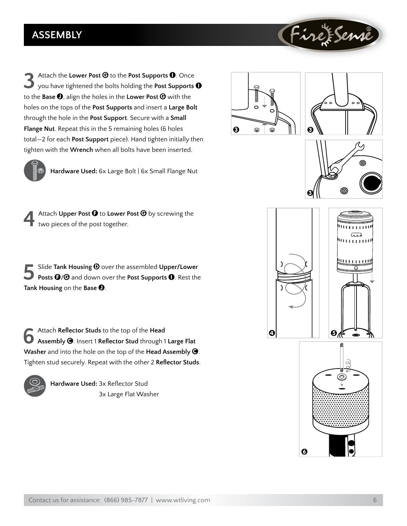# **Assembly**

**3** Attach the Lower Post  $\Theta$  to the Post Supports **0**. Once you have tightened the bolts holding the Post Supports **0** to the **Base** J, align the holes in the **Lower Post** G with the holes on the tops of the **Post Supports** and insert a **Large Bolt** through the hole in the **Post Support**. Secure with a **Small Flange Nut**. Repeat this in the 5 remaining holes (6 holes total—2 for each **Post Support** piece). Hand tighten initially then tighten with the **Wrench** when all bolts have been inserted.

![](_page_5_Picture_2.jpeg)

![](_page_5_Figure_3.jpeg)

ඹ

FirefSense

![](_page_5_Picture_4.jpeg)

**Hardware Used:** 6x Large Bolt | 6x Small Flange Nut

Attach Upper Post  $\Theta$  to Lower Post  $\Theta$  by screwing the two pieces of the post together.

**5** Slide **Tank Housing <b>O** over the assembled **Upper/Lower Posts <b>O**/**G** and down over the **Post Supports <b>0**. Rest the **Tank Housing** on the **Base** J.

**6** Attach Reflector Studs to the top of the Head<br> **Assembly ©**. Insert 1 Reflector Stud through 1 Large Flat **Washer** and into the hole on the top of the **Head Assembly** C. Tighten stud securely. Repeat with the other 2 **Reflector Studs**.

![](_page_5_Picture_9.jpeg)

**Hardware Used:** 3x Reflector Stud 3x Large Flat Washer

![](_page_5_Picture_11.jpeg)

 $\boldsymbol{\Omega}$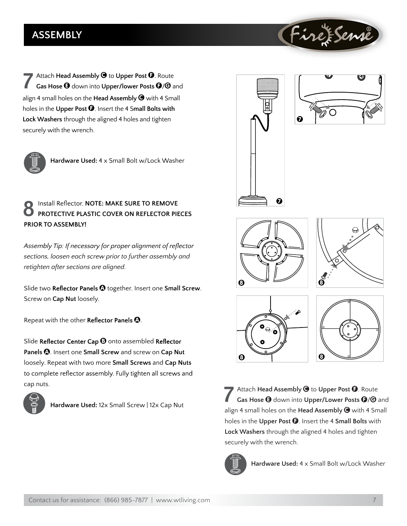# **ASSEMBLY**

**7** Attach **Head Assembly**  $\bullet$  to **Upper Post**  $\bullet$ . Route<br>**Gas Hose**  $\bullet$  down into **Upper/lower Posts**  $\bullet$ **/** $\bullet$  and align 4 small holes on the **Head Assembly** C with 4 Small holes in the **Upper Post**  $\Theta$ . Insert the 4 Small Bolts with **Lock Washers** through the aligned 4 holes and tighten securely with the wrench.

![](_page_6_Picture_2.jpeg)

**Hardware Used:** 4 x Small Bolt w/Lock Washer

### **Install Reflector. NOTE: MAKE SURE TO REMOVE PROTECTIVE PLASTIC COVER ON REFLECTOR PIECES PRIOR TO ASSEMBLY!**

**Assembly Tip: If necessary for proper alignment of reflector** *sections, loosen each screw prior to further assembly and retighten after sections are aligned.*

Slide two Reflector Panels  $\Omega$  together. Insert one Small Screw. Screw on **Cap Nut** loosely.

Repeat with the other Reflector Panels  $\Omega$ .

Slide Reflector Center Cap  $\Theta$  onto assembled Reflector Panels  $\bullet$ . Insert one **Small Screw** and screw on Cap Nut loosely. Repeat with two more **Small Screws** and **Cap Nuts**  to complete reflector assembly. Fully tighten all screws and cap nuts.

![](_page_6_Picture_9.jpeg)

**Hardware Used:** 12x Small Screw | 12x Cap Nut

![](_page_6_Picture_11.jpeg)

![](_page_6_Picture_12.jpeg)

ire ESen

![](_page_6_Picture_13.jpeg)

![](_page_6_Picture_14.jpeg)

![](_page_6_Figure_15.jpeg)

![](_page_6_Figure_16.jpeg)

Attach **Head Assembly**  $\bigcirc$  to Upper Post  $\bigcirc$ . Route Gas Hose  $\Theta$  down into Upper/Lower Posts  $\Theta$ / $\Theta$  and align 4 small holes on the **Head Assembly** C with 4 Small holes in the **Upper Post** F. Insert the 4 **Small Bolts** with **Lock Washers** through the aligned 4 holes and tighten securely with the wrench.

![](_page_6_Picture_18.jpeg)

**Hardware Used:** 4 x Small Bolt w/Lock Washer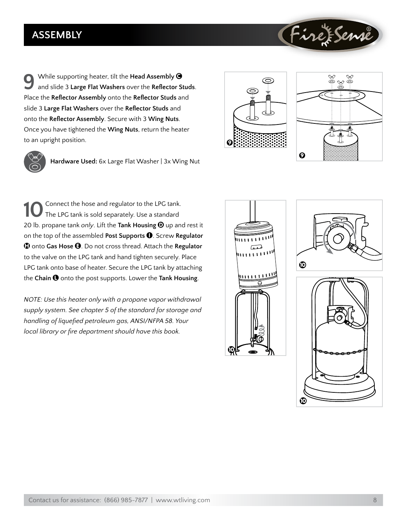# **Assembly**

**9** While supporting heater, tilt the **Head Assembly** <sup>C</sup> and slide 3 **Large Flat Washers** over the **Reflector Studs**. Place the **Reflector Assembly** onto the **Reflector Studs** and slide 3 **Large Flat Washers** over the **Reflector Studs** and onto the **Reflector Assembly**. Secure with 3 **Wing Nuts**. Once you have tightened the **Wing Nuts**, return the heater to an upright position.

![](_page_7_Picture_2.jpeg)

**Hardware Used:** 6x Large Flat Washer | 3x Wing Nut

**10**  Connect the hose and regulator to the LPG tank. The LPG tank is sold separately. Use a standard 20 lb. propane tank only. Lift the **Tank Housing**  $\Theta$  up and rest it on the top of the assembled **Post Supports** I. Screw **Regulator**  $\bigcirc$  onto **Gas Hose**  $\bigcirc$ . Do not cross thread. Attach the **Regulator** to the valve on the LPG tank and hand tighten securely. Place LPG tank onto base of heater. Secure the LPG tank by attaching the **Chain**  $\bullet$  onto the post supports. Lower the Tank Housing.

*NOTE: Use this heater only with a propane vapor withdrawal supply system. See chapter 5 of the standard for storage and handling of liquefied petroleum gas, ANSI/NFPA 58. Your local library or fire department should have this book.*

![](_page_7_Figure_6.jpeg)

![](_page_7_Figure_7.jpeg)

![](_page_7_Figure_8.jpeg)

![](_page_7_Picture_9.jpeg)

![](_page_7_Figure_10.jpeg)

FireFSenne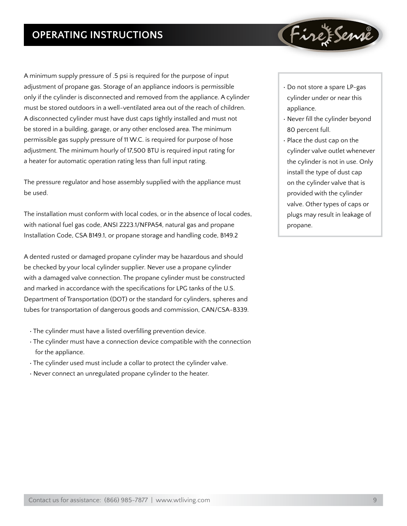# **Operating Instructions**

A minimum supply pressure of .5 psi is required for the purpose of input adjustment of propane gas. Storage of an appliance indoors is permissible only if the cylinder is disconnected and removed from the appliance. A cylinder must be stored outdoors in a well-ventilated area out of the reach of children. A disconnected cylinder must have dust caps tightly installed and must not be stored in a building, garage, or any other enclosed area. The minimum permissible gas supply pressure of 11 W.C. is required for purpose of hose adjustment. The minimum hourly of 17,500 BTU is required input rating for a heater for automatic operation rating less than full input rating.

The pressure regulator and hose assembly supplied with the appliance must be used.

The installation must conform with local codes, or in the absence of local codes, with national fuel gas code, ANSI Z223.1/NFPA54, natural gas and propane Installation Code, CSA B149.1, or propane storage and handling code, B149.2

A dented rusted or damaged propane cylinder may be hazardous and should be checked by your local cylinder supplier. Never use a propane cylinder with a damaged valve connection. The propane cylinder must be constructed and marked in accordance with the specifications for LPG tanks of the U.S. Department of Transportation (DOT) or the standard for cylinders, spheres and tubes for transportation of dangerous goods and commission, CAN/CSA-B339.

- The cylinder must have a listed overfilling prevention device.
- The cylinder must have a connection device compatible with the connection for the appliance.
- The cylinder used must include a collar to protect the cylinder valve.
- Never connect an unregulated propane cylinder to the heater.

• Do not store a spare LP-gas cylinder under or near this appliance.

Firet Sense

- Never fill the cylinder beyond 80 percent full.
- Place the dust cap on the cylinder valve outlet whenever the cylinder is not in use. Only install the type of dust cap on the cylinder valve that is provided with the cylinder valve. Other types of caps or plugs may result in leakage of propane.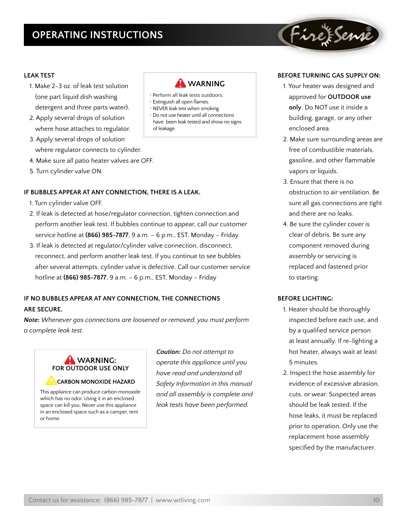# **Operating Instructions**

### **LEAK TEST**

- 1. Make 2-3 oz. of leak test solution (one part liquid dish washing detergent and three parts water).
- 2. Apply several drops of solution where hose attaches to regulator.
- 3. Apply several drops of solution where regulator connects to cylinder.
- 4. Make sure all patio heater valves are OFF.
- 5. Turn cylinder valve ON.

### **IF BUBBLES APPEAR AT ANY CONNECTION, THERE IS A LEAK.**

- 1. Turn cylinder valve OFF.
- 2. If leak is detected at hose/regulator connection, tighten connection and perform another leak test. If bubbles continue to appear, call our customer service hotline at **(866) 985-7877**, 9 a.m. – 6 p.m., EST, Monday – Friday.
- 3. If leak is detected at regulator/cylinder valve connection, disconnect, reconnect, and perform another leak test. If you continue to see bubbles after several attempts, cylinder valve is defective. Call our customer service hotline at **(866) 985-7877**, 9 a.m. – 6 p.m., EST, Monday – Friday

### **IF NO BUBBLES APPEAR AT ANY CONNECTION, THE CONNECTIONS ARE SECURE.**

*Note: Whenever gas connections are loosened or removed, you must perform a complete leak test.*

![](_page_9_Picture_13.jpeg)

**CARBON MONOXIDE HAZARD**

This appliance can produce carbon monoxide which has no odor. Using it in an enclosed space can kill you. Never use this appliance in an enclosed space such as a camper, tent or home.

*Caution: Do not attempt to operate this appliance until you have read and understand all Safety Information in this manual and all assembly is complete and leak tests have been performed.*

![](_page_9_Picture_17.jpeg)

- Perform all leak tests outdoors.
- Extinguish all open flames.
- NEVER leak test when smoking
- Do not use heater until all connections have been leak tested and show no signs of leakage.

### **Before Turning Gas Supply ON:**

FireFSense

- 1. Your heater was designed and approved for **OUTDOOR use only**. Do NOT use it inside a building, garage, or any other enclosed area.
- 2. Make sure surrounding areas are free of combustible materials, gasoline, and other flammable vapors or liquids.
- 3. Ensure that there is no obstruction to air ventilation. Be sure all gas connections are tight and there are no leaks.
- 4. Be sure the cylinder cover is clear of debris. Be sure any component removed during assembly or servicing is replaced and fastened prior to starting.

### **Before Lighting:**

- 1. Heater should be thoroughly inspected before each use, and by a qualified service person at least annually. If re-lighting a hot heater, always wait at least 5 minutes.
- 2. Inspect the hose assembly for evidence of excessive abrasion, cuts, or wear. Suspected areas should be leak tested. If the hose leaks, it must be replaced prior to operation. Only use the replacement hose assembly specified by the manufacturer.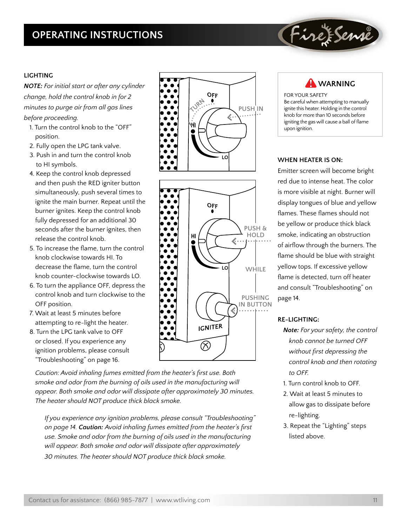# **Operating Instructions**

### **Lighting**

*NOTE: For initial start or after any cylinder change, hold the control knob in for 2 minutes to purge air from all gas lines before proceeding.*

- 1. Turn the control knob to the "OFF" position.
- 2. Fully open the LPG tank valve.
- 3. Push in and turn the control knob to HI symbols.
- 4. Keep the control knob depressed and then push the RED igniter button simultaneously, push several times to ignite the main burner. Repeat until the burner ignites. Keep the control knob fully depressed for an additional 30 seconds after the burner ignites, then release the control knob.
- 5. To increase the flame, turn the control knob clockwise towards HI. To decrease the flame, turn the control knob counter-clockwise towards LO.
- 6. To turn the appliance OFF, depress the control knob and turn clockwise to the OFF position.
- 7. Wait at least 5 minutes before attempting to re-light the heater.
- 8. Turn the LPG tank valve to OFF or closed. If you experience any ignition problems, please consult "Troubleshooting" on page 16.

*Caution: Avoid inhaling fumes emitted from the heater's first use. Both smoke and odor from the burning of oils used in the manufacturing will appear. Both smoke and odor will dissipate after approximately 30 minutes. The heater should NOT produce thick black smoke.*

*If you experience any ignition problems, please consult "Troubleshooting" on page 14. Caution: Avoid inhaling fumes emitted from the heater's first use. Smoke and odor from the burning of oils used in the manufacturing will appear. Both smoke and odor will dissipate after approximately 30 minutes. The heater should NOT produce thick black smoke.*

![](_page_10_Figure_13.jpeg)

![](_page_10_Figure_14.jpeg)

 **WARNING**

FireFSenne

FOR YOUR SAFETY Be careful when attempting to manually ignite this heater. Holding in the control knob for more than 10 seconds before igniting the gas will cause a ball of flame upon ignition.

### **When Heater is ON:**

Emitter screen will become bright red due to intense heat. The color is more visible at night. Burner will display tongues of blue and yellow flames. These flames should not be yellow or produce thick black smoke, indicating an obstruction of airflow through the burners. The flame should be blue with straight yellow tops. If excessive yellow flame is detected, turn off heater and consult "Troubleshooting" on page 14.

### **Re-Lighting:**

- *Note: For your safety, the control knob cannot be turned OFF without first depressing the control knob and then rotating to OFF.*
- 1. Turn control knob to OFF.
- 2. Wait at least 5 minutes to allow gas to dissipate before re-lighting.
- 3. Repeat the "Lighting" steps listed above.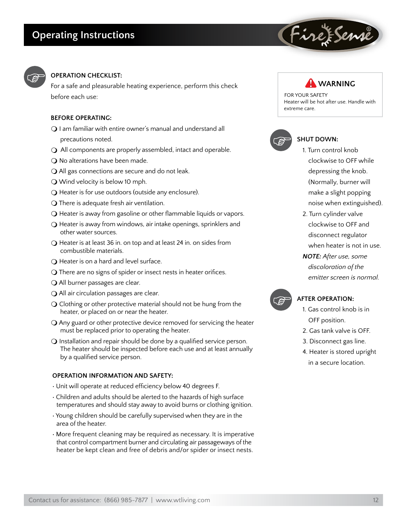![](_page_11_Picture_1.jpeg)

### **Operation Checklist:**

For a safe and pleasurable heating experience, perform this check before each use:

### **Before Operating:**

- $\Omega$  I am familiar with entire owner's manual and understand all precautions noted.
- $\bigcirc$  All components are properly assembled, intact and operable.
- $\bigcirc$  No alterations have been made.
- $\bigcirc$  All gas connections are secure and do not leak.
- $\bigcirc$  Wind velocity is below 10 mph.
- $\bigcirc$  Heater is for use outdoors (outside any enclosure).
- $\bigcirc$  There is adequate fresh air ventilation.
- $\bigcirc$  Heater is away from gasoline or other flammable liquids or vapors.
- $\bigcirc$  Heater is away from windows, air intake openings, sprinklers and other water sources.
- $\bigcirc$  Heater is at least 36 in. on top and at least 24 in. on sides from combustible materials.
- $\Omega$  Heater is on a hard and level surface.
- $\bigcirc$  There are no signs of spider or insect nests in heater orifices.
- $\bigcirc$  All burner passages are clear.
- $\bigcirc$  All air circulation passages are clear.
- $\bigcirc$  Clothing or other protective material should not be hung from the heater, or placed on or near the heater.
- $\Omega$  Any guard or other protective device removed for servicing the heater must be replaced prior to operating the heater.
- $\Omega$  Installation and repair should be done by a qualified service person. The heater should be inspected before each use and at least annually by a qualified service person.

### **operation information and safety:**

- Unit will operate at reduced efficiency below 40 degrees F.
- Children and adults should be alerted to the hazards of high surface temperatures and should stay away to avoid burns or clothing ignition.
- Young children should be carefully supervised when they are in the area of the heater.
- More frequent cleaning may be required as necessary. It is imperative that control compartment burner and circulating air passageways of the heater be kept clean and free of debris and/or spider or insect nests.

![](_page_11_Picture_27.jpeg)

FireFSenne

FOR YOUR SAFETY Heater will be hot after use. Handle with extreme care.

![](_page_11_Picture_29.jpeg)

### **SHUT DOWN:**

- 1. Turn control knob clockwise to OFF while depressing the knob. (Normally, burner will make a slight popping noise when extinguished).
- 2. Turn cylinder valve clockwise to OFF and disconnect regulator when heater is not in use. *NOTE: After use, some discoloration of the emitter screen is normal.*

![](_page_11_Picture_33.jpeg)

#### **After Operation:**

- 1. Gas control knob is in OFF position.
- 2. Gas tank valve is OFF.
- 3. Disconnect gas line.
- 4. Heater is stored upright in a secure location.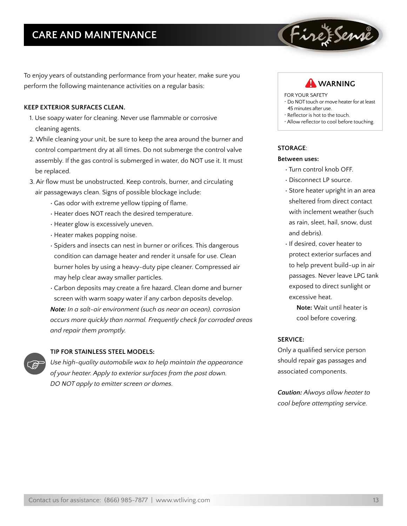# **Care and Maintenance**

To enjoy years of outstanding performance from your heater, make sure you perform the following maintenance activities on a regular basis:

### **Keep exterior surfaces clean.**

- 1. Use soapy water for cleaning. Never use flammable or corrosive cleaning agents.
- 2. While cleaning your unit, be sure to keep the area around the burner and control compartment dry at all times. Do not submerge the control valve assembly. If the gas control is submerged in water, do NOT use it. It must be replaced.
- 3. Air flow must be unobstructed. Keep controls, burner, and circulating air passageways clean. Signs of possible blockage include:
	- Gas odor with extreme yellow tipping of flame.
	- Heater does NOT reach the desired temperature.
	- Heater glow is excessively uneven.
	- Heater makes popping noise.
	- Spiders and insects can nest in burner or orifices. This dangerous condition can damage heater and render it unsafe for use. Clean burner holes by using a heavy-duty pipe cleaner. Compressed air may help clear away smaller particles.
	- Carbon deposits may create a fire hazard. Clean dome and burner screen with warm soapy water if any carbon deposits develop. *Note: In a salt-air environment (such as near an ocean), corrosion occurs more quickly than normal. Frequently check for corroded areas and repair them promptly.*

![](_page_12_Picture_12.jpeg)

### **TIP FOR STAINLESS STEEL MODELS:**

*Use high-quality automobile wax to help maintain the appearance of your heater. Apply to exterior surfaces from the post down. DO NOT apply to emitter screen or domes.*

![](_page_12_Picture_15.jpeg)

Firet Sense

FOR YOUR SAFETY

- Do NOT touch or move heater for at least 45 minutes after use.
- Reflector is hot to the touch.
- Allow reflector to cool before touching.

#### **Storage**:

#### **Between uses:**

- Turn control knob OFF.
- Disconnect LP source.
- Store heater upright in an area sheltered from direct contact with inclement weather (such as rain, sleet, hail, snow, dust and debris).
- If desired, cover heater to protect exterior surfaces and to help prevent build-up in air passages. Never leave LPG tank exposed to direct sunlight or excessive heat.
	- **Note:** Wait until heater is cool before covering.

### **Service:**

Only a qualified service person should repair gas passages and associated components.

*Caution: Always allow heater to cool before attempting service.*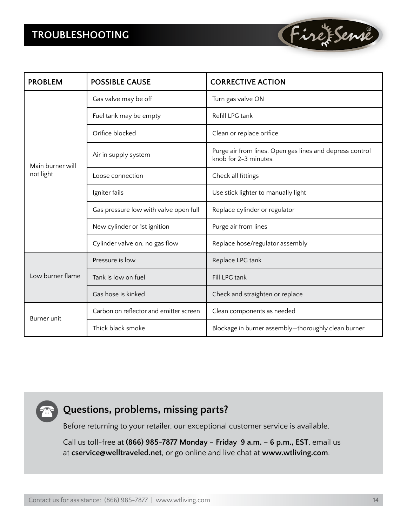# **Troubleshooting**

![](_page_13_Picture_1.jpeg)

# **Questions, problems, missing parts?**

Before returning to your retailer, our exceptional customer service is available.

Call us toll-free at **(866) 985-7877 Monday – Friday 9 a.m. – 6 p.m., EST**, email us at **cservice@welltraveled.net**, or go online and live chat at **www.wtliving.com**.

Fire Fense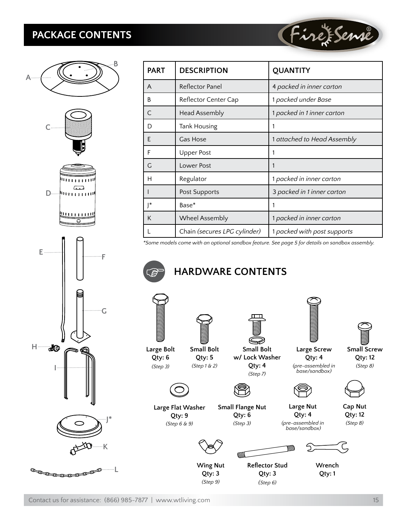# **PACKAGE CONTENTS**

![](_page_14_Picture_1.jpeg)

**LEEEEEE** 

| <b>PART</b> | <b>DESCRIPTION</b>           | <b>QUANTITY</b>             |
|-------------|------------------------------|-----------------------------|
| A           | Reflector Panel              | 4 packed in inner carton    |
| B           | Reflector Center Cap         | 1 packed under Base         |
| $\subset$   | <b>Head Assembly</b>         | 1 packed in 1 inner carton  |
| D           | <b>Tank Housing</b>          | 1                           |
| Ε           | Gas Hose                     | 1 attached to Head Assembly |
| F           | <b>Upper Post</b>            |                             |
| G           | Lower Post                   | 1                           |
| н           | Regulator                    | 1 packed in inner carton    |
|             | Post Supports                | 3 packed in 1 inner carton  |
| l*          | Base*                        |                             |
| K           | Wheel Assembly               | 1 packed in inner carton    |
|             | Chain (secures LPG cylinder) | 1 packed with post supports |

*\*Some models come with an optional sandbox feature. See page 5 for details on sandbox assembly.*

# **HARDWARE CONTENTS**

![](_page_14_Picture_6.jpeg)

**Small Flange Nut Qty: 6** *(Step 3)*

![](_page_14_Picture_7.jpeg)

**Large Flat Washer Qty: 9** *(Step 6 & 9)*

**Large Screw Qty: 4** *(pre-assembled in* 

(Fire Fenne

![](_page_14_Picture_10.jpeg)

*(Step 8)*

![](_page_14_Picture_12.jpeg)

**Cap Nut Qty: 12** *(Step 8)*

![](_page_14_Picture_14.jpeg)

**Large Nut Qty: 4** *(pre-assembled in base/sandbox)*

**Wing Nut Qty: 3** *(Step 9)*

![](_page_14_Picture_16.jpeg)

**Wrench Qty: 1**